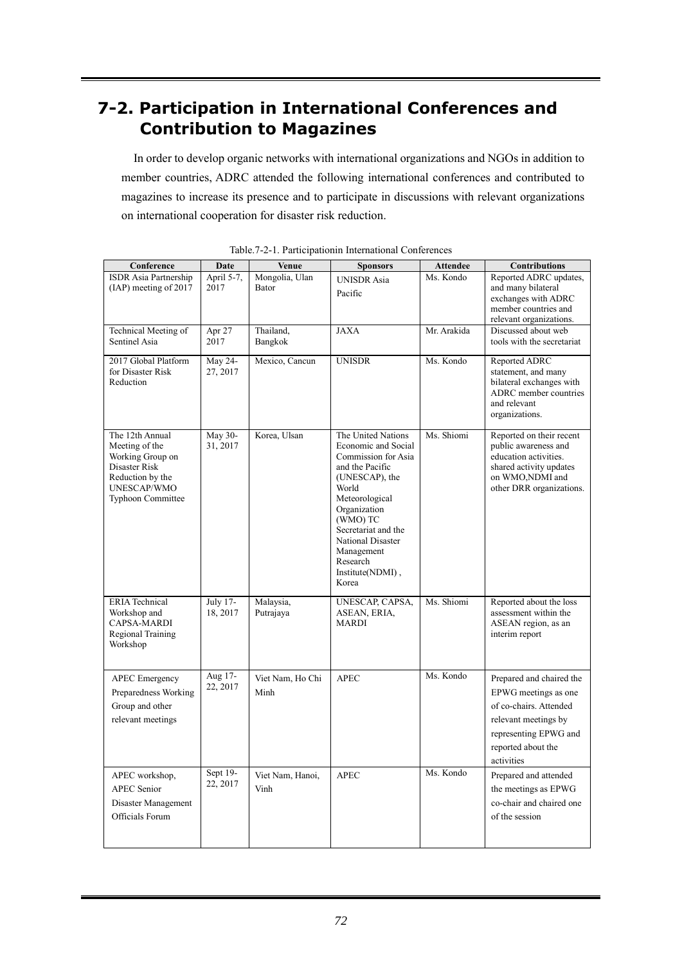## **7-2. Participation in International Conferences and Contribution to Magazines**

In order to develop organic networks with international organizations and NGOs in addition to member countries, ADRC attended the following international conferences and contributed to magazines to increase its presence and to participate in discussions with relevant organizations on international cooperation for disaster risk reduction.

| Conference                                                                                                                            | Date                 | Venue                          | <b>Sponsors</b>                                                                                                                                                                                                                                                 | <b>Attendee</b> | <b>Contributions</b>                                                                                                                                            |
|---------------------------------------------------------------------------------------------------------------------------------------|----------------------|--------------------------------|-----------------------------------------------------------------------------------------------------------------------------------------------------------------------------------------------------------------------------------------------------------------|-----------------|-----------------------------------------------------------------------------------------------------------------------------------------------------------------|
| ISDR Asia Partnership<br>(IAP) meeting of 2017                                                                                        | April 5-7,<br>2017   | Mongolia, Ulan<br><b>Bator</b> | <b>UNISDR</b> Asia<br>Pacific                                                                                                                                                                                                                                   | Ms. Kondo       | Reported ADRC updates,<br>and many bilateral<br>exchanges with ADRC<br>member countries and<br>relevant organizations.                                          |
| Technical Meeting of<br>Sentinel Asia                                                                                                 | Apr 27<br>2017       | Thailand,<br>Bangkok           | <b>JAXA</b>                                                                                                                                                                                                                                                     | Mr. Arakida     | Discussed about web<br>tools with the secretariat                                                                                                               |
| 2017 Global Platform<br>for Disaster Risk<br>Reduction                                                                                | May 24-<br>27, 2017  | Mexico, Cancun                 | <b>UNISDR</b>                                                                                                                                                                                                                                                   | Ms. Kondo       | Reported ADRC<br>statement, and many<br>bilateral exchanges with<br>ADRC member countries<br>and relevant<br>organizations.                                     |
| The 12th Annual<br>Meeting of the<br>Working Group on<br>Disaster Risk<br>Reduction by the<br>UNESCAP/WMO<br><b>Typhoon Committee</b> | May 30-<br>31, 2017  | Korea, Ulsan                   | The United Nations<br>Economic and Social<br>Commission for Asia<br>and the Pacific<br>(UNESCAP), the<br>World<br>Meteorological<br>Organization<br>(WMO) TC<br>Secretariat and the<br>National Disaster<br>Management<br>Research<br>Institute(NDMI),<br>Korea | Ms. Shiomi      | Reported on their recent<br>public awareness and<br>education activities.<br>shared activity updates<br>on WMO,NDMI and<br>other DRR organizations.             |
| <b>ERIA</b> Technical<br>Workshop and<br>CAPSA-MARDI<br>Regional Training<br>Workshop                                                 | July 17-<br>18, 2017 | Malaysia,<br>Putrajaya         | UNESCAP, CAPSA,<br>ASEAN, ERIA,<br><b>MARDI</b>                                                                                                                                                                                                                 | Ms. Shiomi      | Reported about the loss<br>assessment within the<br>ASEAN region, as an<br>interim report                                                                       |
| <b>APEC</b> Emergency<br>Preparedness Working<br>Group and other<br>relevant meetings                                                 | Aug 17-<br>22, 2017  | Viet Nam, Ho Chi<br>Minh       | <b>APEC</b>                                                                                                                                                                                                                                                     | Ms. Kondo       | Prepared and chaired the<br>EPWG meetings as one<br>of co-chairs. Attended<br>relevant meetings by<br>representing EPWG and<br>reported about the<br>activities |
| APEC workshop,<br><b>APEC</b> Senior<br>Disaster Management<br>Officials Forum                                                        | Sept 19-<br>22, 2017 | Viet Nam, Hanoi,<br>Vinh       | <b>APEC</b>                                                                                                                                                                                                                                                     | Ms. Kondo       | Prepared and attended<br>the meetings as EPWG<br>co-chair and chaired one<br>of the session                                                                     |

Table.7-2-1. Participationin International Conferences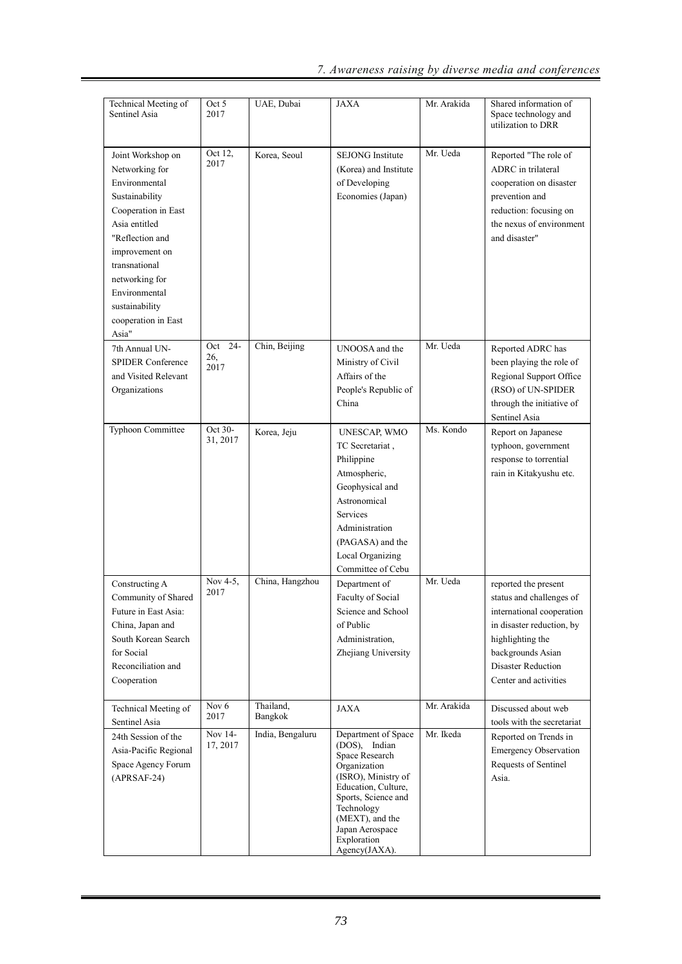| Technical Meeting of<br>Sentinel Asia                                                                                                                                                                                                                     | Oct 5<br>2017          | UAE, Dubai           | JAXA                                                                                                                                                                                                                            | Mr. Arakida | Shared information of<br>Space technology and<br>utilization to DRR                                                                                                                                |
|-----------------------------------------------------------------------------------------------------------------------------------------------------------------------------------------------------------------------------------------------------------|------------------------|----------------------|---------------------------------------------------------------------------------------------------------------------------------------------------------------------------------------------------------------------------------|-------------|----------------------------------------------------------------------------------------------------------------------------------------------------------------------------------------------------|
| Joint Workshop on<br>Networking for<br>Environmental<br>Sustainability<br>Cooperation in East<br>Asia entitled<br>"Reflection and<br>improvement on<br>transnational<br>networking for<br>Environmental<br>sustainability<br>cooperation in East<br>Asia" | Oct 12,<br>2017        | Korea, Seoul         | <b>SEJONG</b> Institute<br>(Korea) and Institute<br>of Developing<br>Economies (Japan)                                                                                                                                          | Mr. Ueda    | Reported "The role of<br>ADRC in trilateral<br>cooperation on disaster<br>prevention and<br>reduction: focusing on<br>the nexus of environment<br>and disaster"                                    |
| 7th Annual UN-<br><b>SPIDER Conference</b><br>and Visited Relevant<br>Organizations                                                                                                                                                                       | Oct 24-<br>26,<br>2017 | Chin, Beijing        | UNOOSA and the<br>Ministry of Civil<br>Affairs of the<br>People's Republic of<br>China                                                                                                                                          | Mr. Ueda    | Reported ADRC has<br>been playing the role of<br>Regional Support Office<br>(RSO) of UN-SPIDER<br>through the initiative of<br>Sentinel Asia                                                       |
| Typhoon Committee                                                                                                                                                                                                                                         | Oct 30-<br>31, 2017    | Korea, Jeju          | UNESCAP, WMO<br>TC Secretariat,<br>Philippine<br>Atmospheric,<br>Geophysical and<br>Astronomical<br>Services<br>Administration<br>(PAGASA) and the<br>Local Organizing<br>Committee of Cebu                                     | Ms. Kondo   | Report on Japanese<br>typhoon, government<br>response to torrential<br>rain in Kitakyushu etc.                                                                                                     |
| Constructing A<br>Community of Shared<br>Future in East Asia:<br>China, Japan and<br>South Korean Search<br>for Social<br>Reconciliation and<br>Cooperation                                                                                               | Nov 4-5,<br>2017       | China, Hangzhou      | Department of<br>Faculty of Social<br>Science and School<br>of Public<br>Administration,<br>Zhejiang University                                                                                                                 | Mr. Ueda    | reported the present<br>status and challenges of<br>international cooperation<br>in disaster reduction, by<br>highlighting the<br>backgrounds Asian<br>Disaster Reduction<br>Center and activities |
| Technical Meeting of<br>Sentinel Asia                                                                                                                                                                                                                     | Nov 6<br>2017          | Thailand,<br>Bangkok | JAXA                                                                                                                                                                                                                            | Mr. Arakida | Discussed about web<br>tools with the secretariat                                                                                                                                                  |
| 24th Session of the<br>Asia-Pacific Regional<br>Space Agency Forum<br>$(APRSAF-24)$                                                                                                                                                                       | Nov 14-<br>17, 2017    | India, Bengaluru     | Department of Space<br>(DOS), Indian<br>Space Research<br>Organization<br>(ISRO), Ministry of<br>Education, Culture,<br>Sports, Science and<br>Technology<br>(MEXT), and the<br>Japan Aerospace<br>Exploration<br>Agency(JAXA). | Mr. Ikeda   | Reported on Trends in<br><b>Emergency Observation</b><br>Requests of Sentinel<br>Asia.                                                                                                             |